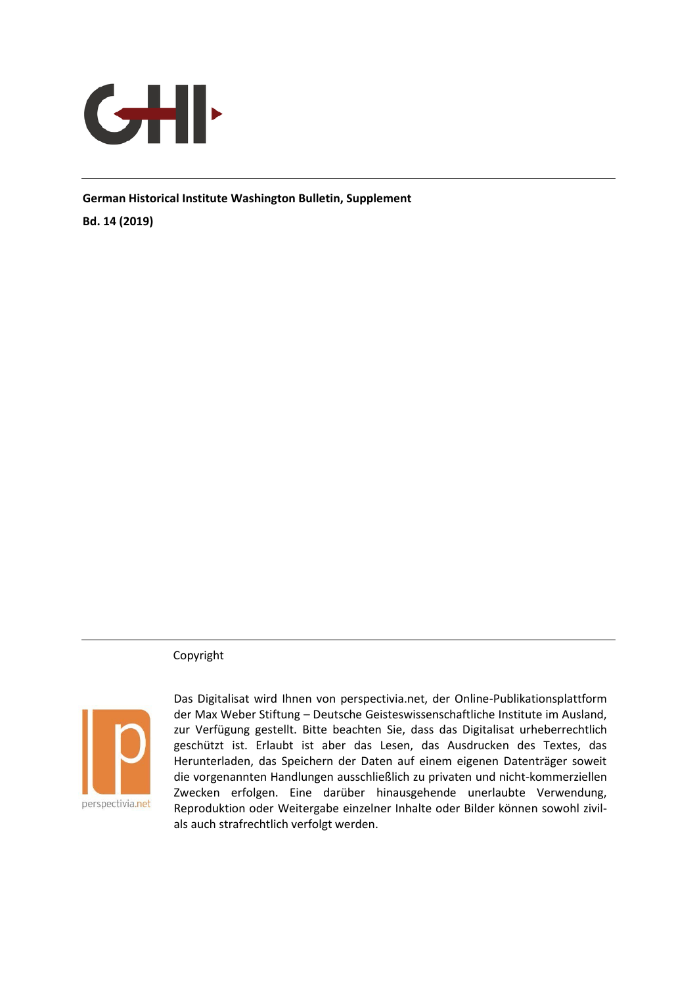

**German Historical Institute Washington Bulletin, Supplement** 

**Bd. 14 (2019)** 

Copyright



Das Digitalisat wird Ihnen von perspectivia.net, der Online-Publikationsplattform der Max Weber Stiftung – Deutsche Geisteswissenschaftliche Institute im Ausland, zur Verfügung gestellt. Bitte beachten Sie, dass das Digitalisat urheberrechtlich geschützt ist. Erlaubt ist aber das Lesen, das Ausdrucken des Textes, das Herunterladen, das Speichern der Daten auf einem eigenen Datenträger soweit die vorgenannten Handlungen ausschließlich zu privaten und nicht-kommerziellen Zwecken erfolgen. Eine darüber hinausgehende unerlaubte Verwendung, Reproduktion oder Weitergabe einzelner Inhalte oder Bilder können sowohl zivilals auch strafrechtlich verfolgt werden.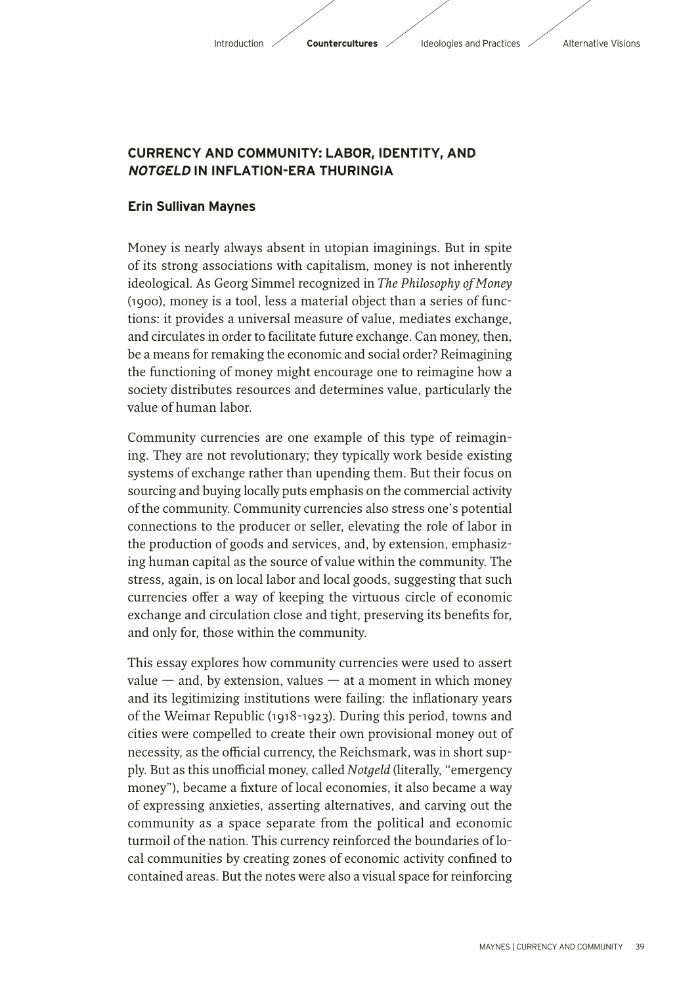## **CURRENCY AND COMMUNITY: LABOR, IDENTITY, AND NOTGELD IN INFLATION-ERA THURINGIA**

## **Erin Sullivan Maynes**

Money is nearly always absent in utopian imaginings. But in spite of its strong associations with capitalism, money is not inherently ideological. As Georg Simmel recognized in *The Philosophy of Money* (1900), money is a tool, less a material object than a series of functions: it provides a universal measure of value, mediates exchange, and circulates in order to facilitate future exchange. Can money, then, be a means for remaking the economic and social order? Reimagining the functioning of money might encourage one to reimagine how a society distributes resources and determines value, particularly the value of human labor.

Community currencies are one example of this type of reimagining. They are not revolutionary; they typically work beside existing systems of exchange rather than upending them. But their focus on sourcing and buying locally puts emphasis on the commercial activity of the community. Community currencies also stress one's potential connections to the producer or seller, elevating the role of labor in the production of goods and services, and, by extension, emphasizing human capital as the source of value within the community. The stress, again, is on local labor and local goods, suggesting that such currencies offer a way of keeping the virtuous circle of economic exchange and circulation close and tight, preserving its benefits for, and only for, those within the community.

This essay explores how community currencies were used to assert value  $-$  and, by extension, values  $-$  at a moment in which money and its legitimizing institutions were failing: the inflationary years of the Weimar Republic (1918-1923). During this period, towns and cities were compelled to create their own provisional money out of necessity, as the official currency, the Reichsmark, was in short supply. But as this unofficial money, called *Notgeld* (literally, "emergency money"), became a fixture of local economies, it also became a way of expressing anxieties, asserting alternatives, and carving out the community as a space separate from the political and economic turmoil of the nation. This currency reinforced the boundaries of local communities by creating zones of economic activity confined to contained areas. But the notes were also a visual space for reinforcing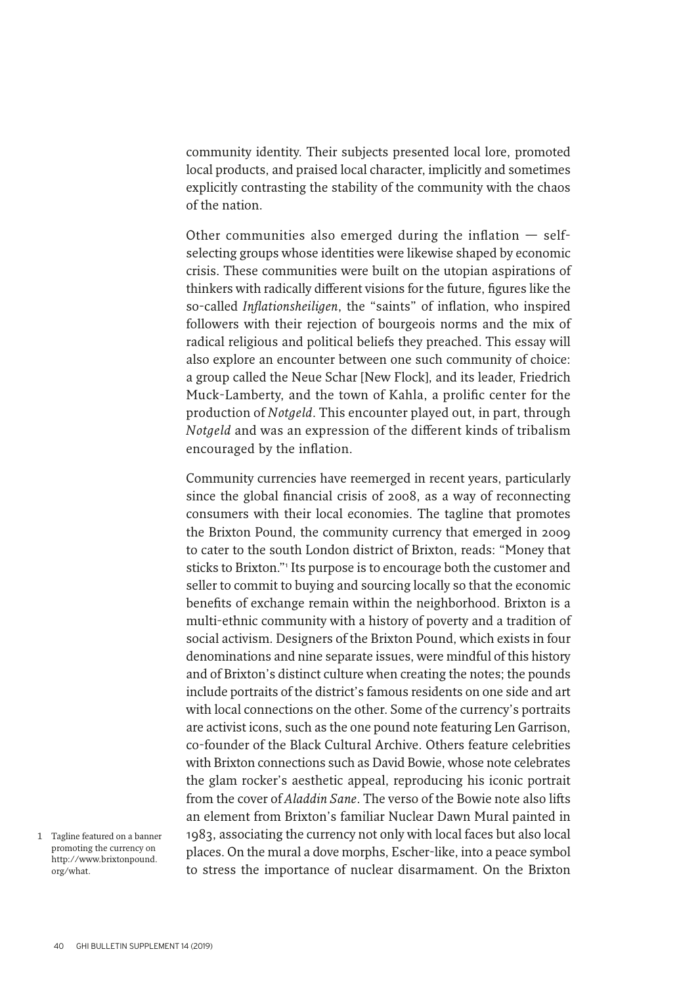community identity. Their subjects presented local lore, promoted local products, and praised local character, implicitly and sometimes explicitly contrasting the stability of the community with the chaos of the nation.

Other communities also emerged during the inflation  $-$  selfselecting groups whose identities were likewise shaped by economic crisis. These communities were built on the utopian aspirations of thinkers with radically different visions for the future, figures like the so-called *Inflationsheiligen*, the "saints" of inflation, who inspired followers with their rejection of bourgeois norms and the mix of radical religious and political beliefs they preached. This essay will also explore an encounter between one such community of choice: a group called the Neue Schar [New Flock], and its leader, Friedrich Muck-Lamberty, and the town of Kahla, a prolific center for the production of *Notgeld*. This encounter played out, in part, through *Notgeld* and was an expression of the different kinds of tribalism encouraged by the inflation.

Community currencies have reemerged in recent years, particularly since the global financial crisis of 2008, as a way of reconnecting consumers with their local economies. The tagline that promotes the Brixton Pound, the community currency that emerged in 2009 to cater to the south London district of Brixton, reads: "Money that sticks to Brixton."<sup>1</sup> Its purpose is to encourage both the customer and seller to commit to buying and sourcing locally so that the economic benefits of exchange remain within the neighborhood. Brixton is a multi-ethnic community with a history of poverty and a tradition of social activism. Designers of the Brixton Pound, which exists in four denominations and nine separate issues, were mindful of this history and of Brixton's distinct culture when creating the notes; the pounds include portraits of the district's famous residents on one side and art with local connections on the other. Some of the currency's portraits are activist icons, such as the one pound note featuring Len Garrison, co-founder of the Black Cultural Archive. Others feature celebrities with Brixton connections such as David Bowie, whose note celebrates the glam rocker's aesthetic appeal, reproducing his iconic portrait from the cover of *Aladdin Sane*. The verso of the Bowie note also lifts an element from Brixton's familiar Nuclear Dawn Mural painted in 1983, associating the currency not only with local faces but also local places. On the mural a dove morphs, Escher-like, into a peace symbol to stress the importance of nuclear disarmament. On the Brixton

<sup>1</sup> Tagline featured on a banner promoting the currency on http://www.brixtonpound. org/what.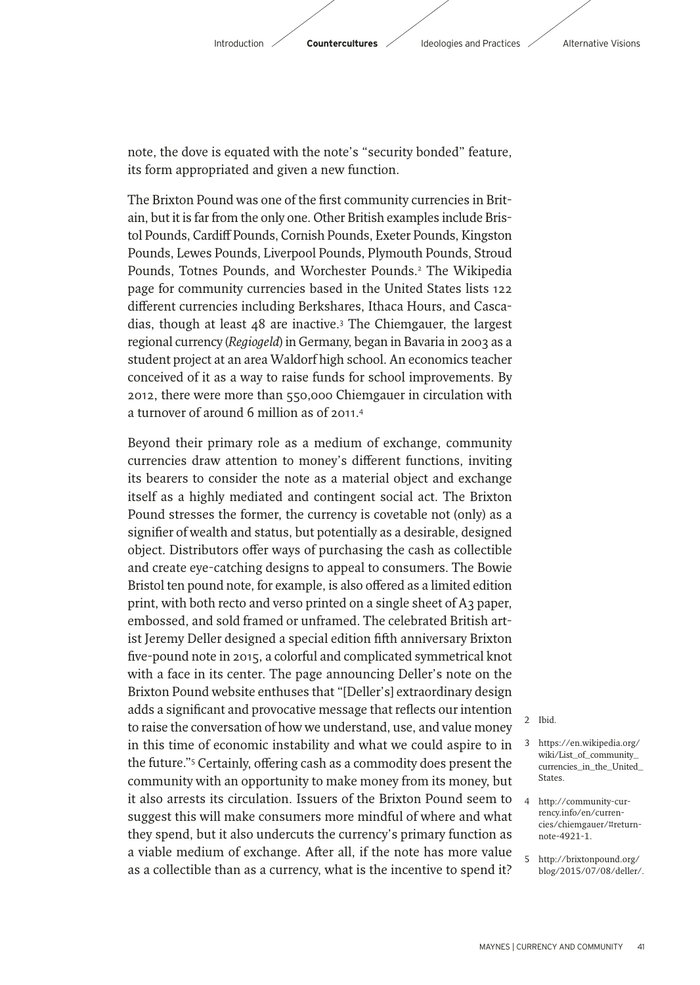

note, the dove is equated with the note's "security bonded" feature, its form appropriated and given a new function.

The Brixton Pound was one of the first community currencies in Britain, but it is far from the only one. Other British examples include Bristol Pounds, Cardif Pounds, Cornish Pounds, Exeter Pounds, Kingston Pounds, Lewes Pounds, Liverpool Pounds, Plymouth Pounds, Stroud Pounds, Totnes Pounds, and Worchester Pounds.2 The Wikipedia page for community currencies based in the United States lists 122 different currencies including Berkshares, Ithaca Hours, and Cascadias, though at least 48 are inactive.3 The Chiemgauer, the largest regional currency (*Regiogeld*) in Germany, began in Bavaria in 2003 as a student project at an area Waldorf high school. An economics teacher conceived of it as a way to raise funds for school improvements. By 2012, there were more than 550,000 Chiemgauer in circulation with a turnover of around 6 million as of 2011.4

Beyond their primary role as a medium of exchange, community currencies draw attention to money's different functions, inviting its bearers to consider the note as a material object and exchange itself as a highly mediated and contingent social act. The Brixton Pound stresses the former, the currency is covetable not (only) as a signifier of wealth and status, but potentially as a desirable, designed object. Distributors offer ways of purchasing the cash as collectible and create eye-catching designs to appeal to consumers. The Bowie Bristol ten pound note, for example, is also offered as a limited edition print, with both recto and verso printed on a single sheet of A3 paper, embossed, and sold framed or unframed. The celebrated British artist Jeremy Deller designed a special edition fifth anniversary Brixton five-pound note in 2015, a colorful and complicated symmetrical knot with a face in its center. The page announcing Deller's note on the Brixton Pound website enthuses that "[Deller's] extraordinary design adds a significant and provocative message that reflects our intention to raise the conversation of how we understand, use, and value money in this time of economic instability and what we could aspire to in the future."<sup>5</sup> Certainly, offering cash as a commodity does present the community with an opportunity to make money from its money, but it also arrests its circulation. Issuers of the Brixton Pound seem to suggest this will make consumers more mindful of where and what they spend, but it also undercuts the currency's primary function as a viable medium of exchange. After all, if the note has more value as a collectible than as a currency, what is the incentive to spend it?

- 2 Ibid.
- 3 https://en.wikipedia.org/ wiki/List\_of\_community\_ currencies\_in\_the\_United\_ States.
- 4 http://community-currency.info/en/currencies/chiemgauer/#returnnote-4921-1.
- 5 http://brixtonpound.org/ blog/2015/07/08/deller/.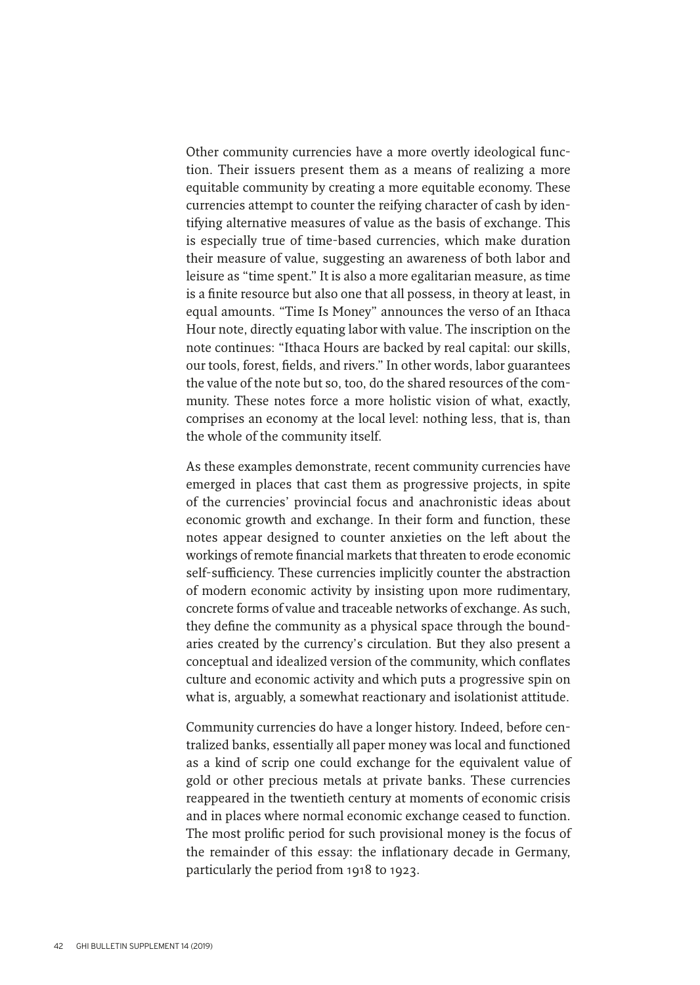Other community currencies have a more overtly ideological function. Their issuers present them as a means of realizing a more equitable community by creating a more equitable economy. These currencies attempt to counter the reifying character of cash by identifying alternative measures of value as the basis of exchange. This is especially true of time-based currencies, which make duration their measure of value, suggesting an awareness of both labor and leisure as "time spent." It is also a more egalitarian measure, as time is a finite resource but also one that all possess, in theory at least, in equal amounts. "Time Is Money" announces the verso of an Ithaca Hour note, directly equating labor with value. The inscription on the note continues: "Ithaca Hours are backed by real capital: our skills, our tools, forest, fields, and rivers." In other words, labor guarantees the value of the note but so, too, do the shared resources of the community. These notes force a more holistic vision of what, exactly, comprises an economy at the local level: nothing less, that is, than the whole of the community itself.

As these examples demonstrate, recent community currencies have emerged in places that cast them as progressive projects, in spite of the currencies' provincial focus and anachronistic ideas about economic growth and exchange. In their form and function, these notes appear designed to counter anxieties on the left about the workings of remote financial markets that threaten to erode economic self-sufficiency. These currencies implicitly counter the abstraction of modern economic activity by insisting upon more rudimentary, concrete forms of value and traceable networks of exchange. As such, they define the community as a physical space through the boundaries created by the currency's circulation. But they also present a conceptual and idealized version of the community, which conflates culture and economic activity and which puts a progressive spin on what is, arguably, a somewhat reactionary and isolationist attitude.

Community currencies do have a longer history. Indeed, before centralized banks, essentially all paper money was local and functioned as a kind of scrip one could exchange for the equivalent value of gold or other precious metals at private banks. These currencies reappeared in the twentieth century at moments of economic crisis and in places where normal economic exchange ceased to function. The most prolific period for such provisional money is the focus of the remainder of this essay: the inflationary decade in Germany, particularly the period from 1918 to 1923.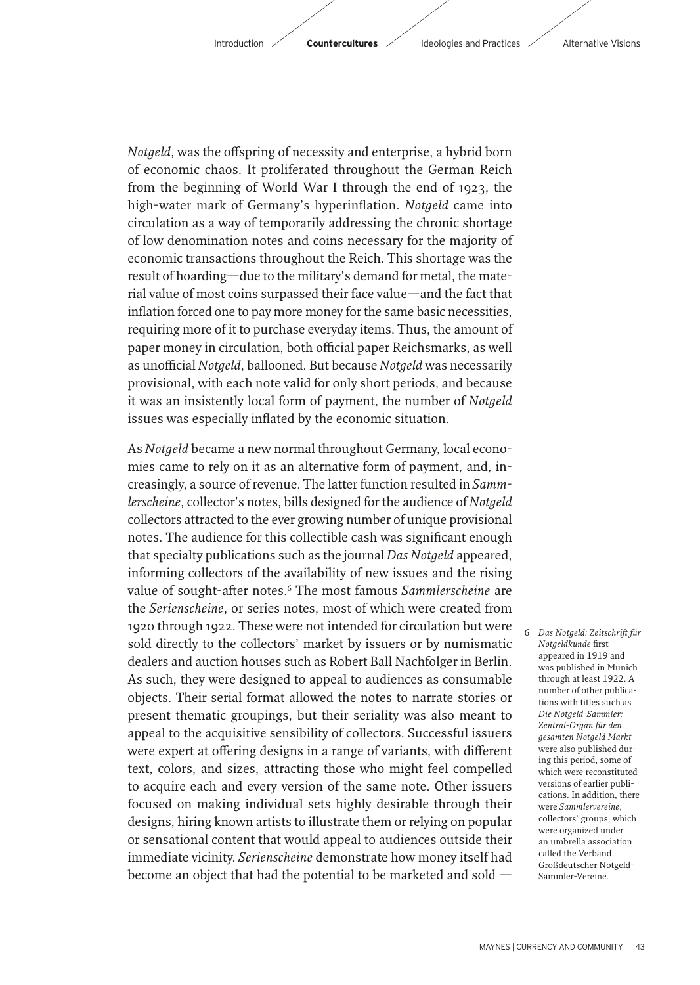*Notgeld*, was the offspring of necessity and enterprise, a hybrid born of economic chaos. It proliferated throughout the German Reich from the beginning of World War I through the end of 1923, the high-water mark of Germany's hyperinflation. *Notgeld* came into circulation as a way of temporarily addressing the chronic shortage of low denomination notes and coins necessary for the majority of economic transactions throughout the Reich. This shortage was the result of hoarding—due to the military's demand for metal, the material value of most coins surpassed their face value—and the fact that inflation forced one to pay more money for the same basic necessities, requiring more of it to purchase everyday items. Thus, the amount of paper money in circulation, both official paper Reichsmarks, as well as unofficial *Notgeld*, ballooned. But because *Notgeld* was necessarily provisional, with each note valid for only short periods, and because it was an insistently local form of payment, the number of *Notgeld* issues was especially inflated by the economic situation.

As *Notgeld* became a new normal throughout Germany, local economies came to rely on it as an alternative form of payment, and, increasingly, a source of revenue. The latter function resulted in *Sammlerscheine*, collector's notes, bills designed for the audience of *Notgeld* collectors attracted to the ever growing number of unique provisional notes. The audience for this collectible cash was significant enough that specialty publications such as the journal *Das Notgeld* appeared, informing collectors of the availability of new issues and the rising value of sought-after notes.<sup>6</sup> The most famous *Sammlerscheine* are the *Serienscheine*, or series notes, most of which were created from 1920 through 1922. These were not intended for circulation but were sold directly to the collectors' market by issuers or by numismatic dealers and auction houses such as Robert Ball Nachfolger in Berlin. As such, they were designed to appeal to audiences as consumable objects. Their serial format allowed the notes to narrate stories or present thematic groupings, but their seriality was also meant to appeal to the acquisitive sensibility of collectors. Successful issuers were expert at offering designs in a range of variants, with different text, colors, and sizes, attracting those who might feel compelled to acquire each and every version of the same note. Other issuers focused on making individual sets highly desirable through their designs, hiring known artists to illustrate them or relying on popular or sensational content that would appeal to audiences outside their immediate vicinity. *Serienscheine* demonstrate how money itself had become an object that had the potential to be marketed and sold —

6 *Das Notgeld: Zeitschrif für Notgeldkunde* first appeared in 1919 and was published in Munich through at least 1922. A number of other publications with titles such as *Die Notgeld-Sammler: Zentral-Organ für den gesamten Notgeld Markt* were also published during this period, some of which were reconstituted versions of earlier publications. In addition, there were *Sammlervereine*, collectors' groups, which were organized under an umbrella association called the Verband Großdeutscher Notgeld-Sammler-Vereine.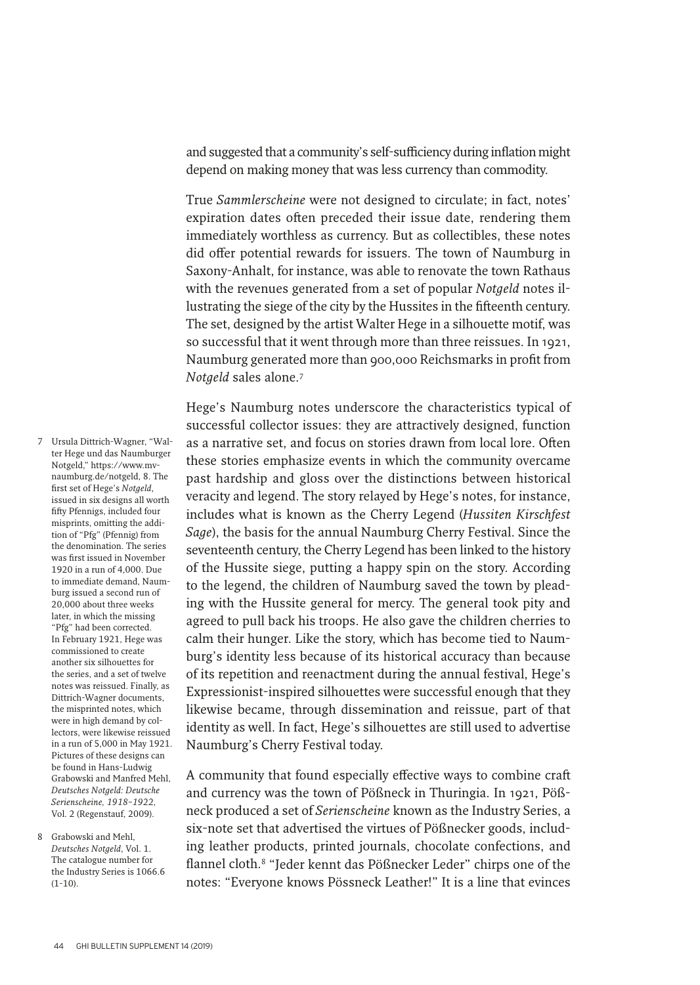and suggested that a community's self-sufficiency during inflation might depend on making money that was less currency than commodity.

True *Sammlerscheine* were not designed to circulate; in fact, notes' expiration dates often preceded their issue date, rendering them immediately worthless as currency. But as collectibles, these notes did offer potential rewards for issuers. The town of Naumburg in Saxony-Anhalt, for instance, was able to renovate the town Rathaus with the revenues generated from a set of popular *Notgeld* notes illustrating the siege of the city by the Hussites in the fifteenth century. The set, designed by the artist Walter Hege in a silhouette motif, was so successful that it went through more than three reissues. In 1921, Naumburg generated more than 900,000 Reichsmarks in profit from *Notgeld* sales alone.7

7 Ursula Dittrich-Wagner, "Walter Hege und das Naumburger Notgeld," https://www.mvnaumburg.de/notgeld, 8. The fi rst set of Hege's *Notgeld*, issued in six designs all worth fifty Pfennigs, included four misprints, omitting the addition of "Pfg" (Pfennig) from the denomination. The series was first issued in November 1920 in a run of 4,000. Due to immediate demand, Naumburg issued a second run of 20,000 about three weeks later, in which the missing "Pfg" had been corrected. In February 1921, Hege was commissioned to create another six silhouettes for the series, and a set of twelve notes was reissued. Finally, as Dittrich-Wagner documents, the misprinted notes, which were in high demand by collectors, were likewise reissued in a run of 5,000 in May 1921. Pictures of these designs can be found in Hans-Ludwig Grabowski and Manfred Mehl, *Deutsches Notgeld: Deutsche Serienscheine, 1918–1922,*  Vol. 2 (Regenstauf, 2009).

8 Grabowski and Mehl, *Deutsches Notgeld*, Vol. 1. The catalogue number for the Industry Series is 1066.6  $(1-10)$ .

Hege's Naumburg notes underscore the characteristics typical of successful collector issues: they are attractively designed, function as a narrative set, and focus on stories drawn from local lore. Often these stories emphasize events in which the community overcame past hardship and gloss over the distinctions between historical veracity and legend. The story relayed by Hege's notes, for instance, includes what is known as the Cherry Legend (*Hussiten Kirschfest Sage*), the basis for the annual Naumburg Cherry Festival. Since the seventeenth century, the Cherry Legend has been linked to the history of the Hussite siege, putting a happy spin on the story. According to the legend, the children of Naumburg saved the town by pleading with the Hussite general for mercy. The general took pity and agreed to pull back his troops. He also gave the children cherries to calm their hunger. Like the story, which has become tied to Naumburg's identity less because of its historical accuracy than because of its repetition and reenactment during the annual festival, Hege's Expressionist-inspired silhouettes were successful enough that they likewise became, through dissemination and reissue, part of that identity as well. In fact, Hege's silhouettes are still used to advertise Naumburg's Cherry Festival today.

A community that found especially effective ways to combine craft and currency was the town of Pößneck in Thuringia. In 1921, Pößneck produced a set of *Serienscheine* known as the Industry Series, a six-note set that advertised the virtues of Pößnecker goods, including leather products, printed journals, chocolate confections, and flannel cloth.<sup>8</sup> "Jeder kennt das Pößnecker Leder" chirps one of the notes: "Everyone knows Pössneck Leather!" It is a line that evinces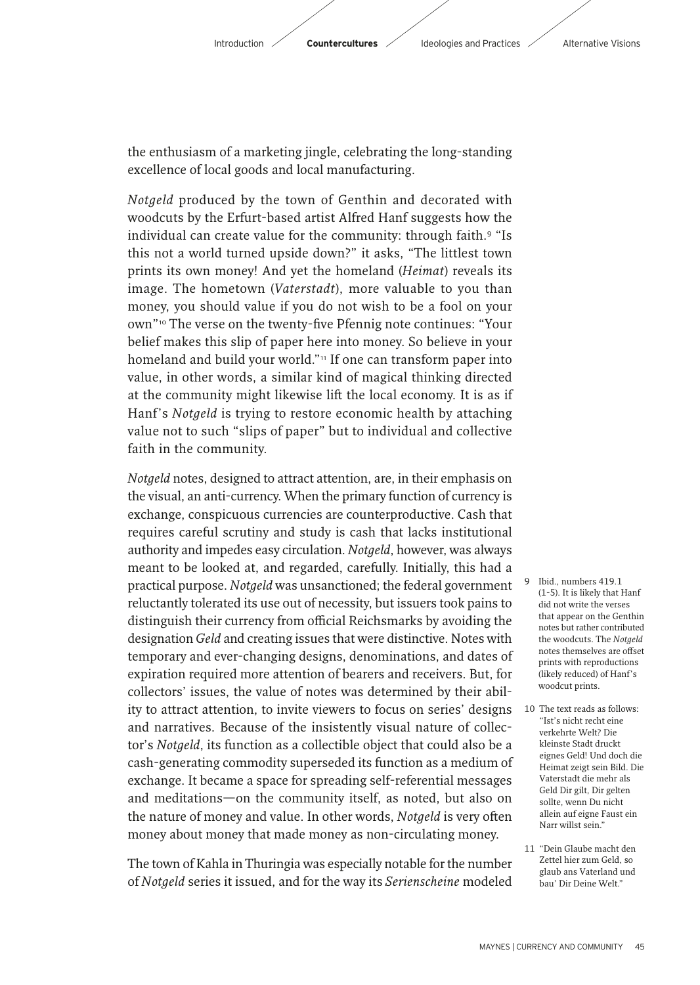

the enthusiasm of a marketing jingle, celebrating the long-standing excellence of local goods and local manufacturing.

*Notgeld* produced by the town of Genthin and decorated with woodcuts by the Erfurt-based artist Alfred Hanf suggests how the individual can create value for the community: through faith.9 "Is this not a world turned upside down?" it asks, "The littlest town prints its own money! And yet the homeland (*Heimat*) reveals its image. The hometown (*Vaterstadt*), more valuable to you than money, you should value if you do not wish to be a fool on your own"<sup>10</sup> The verse on the twenty-five Pfennig note continues: "Your belief makes this slip of paper here into money. So believe in your homeland and build your world."<sup>11</sup> If one can transform paper into value, in other words, a similar kind of magical thinking directed at the community might likewise lift the local economy. It is as if Hanf's *Notgeld* is trying to restore economic health by attaching value not to such "slips of paper" but to individual and collective faith in the community.

*Notgeld* notes, designed to attract attention, are, in their emphasis on the visual, an anti-currency. When the primary function of currency is exchange, conspicuous currencies are counterproductive. Cash that requires careful scrutiny and study is cash that lacks institutional authority and impedes easy circulation. *Notgeld*, however, was always meant to be looked at, and regarded, carefully. Initially, this had a practical purpose. *Notgeld* was unsanctioned; the federal government reluctantly tolerated its use out of necessity, but issuers took pains to distinguish their currency from official Reichsmarks by avoiding the designation *Geld* and creating issues that were distinctive. Notes with temporary and ever-changing designs, denominations, and dates of expiration required more attention of bearers and receivers. But, for collectors' issues, the value of notes was determined by their ability to attract attention, to invite viewers to focus on series' designs and narratives. Because of the insistently visual nature of collector's *Notgeld*, its function as a collectible object that could also be a cash-generating commodity superseded its function as a medium of exchange. It became a space for spreading self-referential messages and meditations—on the community itself, as noted, but also on the nature of money and value. In other words, *Notgeld* is very often money about money that made money as non-circulating money.

The town of Kahla in Thuringia was especially notable for the number of *Notgeld* series it issued, and for the way its *Serienscheine* modeled

- 9 Ibid., numbers 419.1 (1-5). It is likely that Hanf did not write the verses that appear on the Genthin notes but rather contributed the woodcuts. The *Notgeld* notes themselves are offset prints with reproductions (likely reduced) of Hanf's woodcut prints.
- 10 The text reads as follows: "Ist's nicht recht eine verkehrte Welt? Die kleinste Stadt druckt eignes Geld! Und doch die Heimat zeigt sein Bild. Die Vaterstadt die mehr als Geld Dir gilt, Dir gelten sollte, wenn Du nicht allein auf eigne Faust ein Narr willst sein."
- 11 "Dein Glaube macht den Zettel hier zum Geld, so glaub ans Vaterland und bau' Dir Deine Welt."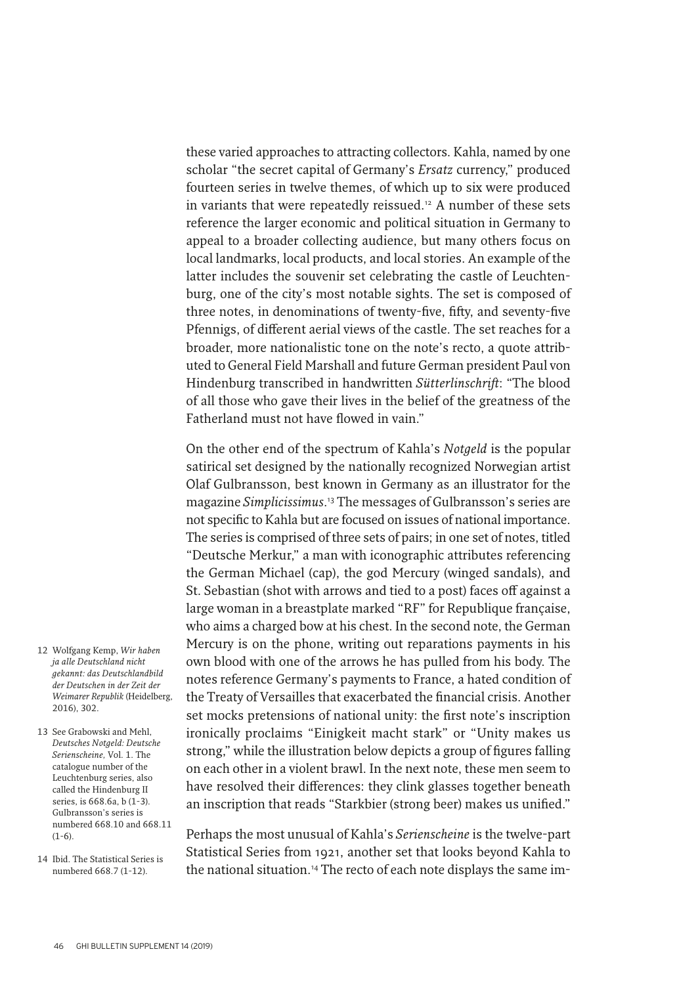these varied approaches to attracting collectors. Kahla, named by one scholar "the secret capital of Germany's *Ersatz* currency," produced fourteen series in twelve themes, of which up to six were produced in variants that were repeatedly reissued.<sup>12</sup> A number of these sets reference the larger economic and political situation in Germany to appeal to a broader collecting audience, but many others focus on local landmarks, local products, and local stories. An example of the latter includes the souvenir set celebrating the castle of Leuchtenburg, one of the city's most notable sights. The set is composed of three notes, in denominations of twenty-five, fifty, and seventy-five Pfennigs, of different aerial views of the castle. The set reaches for a broader, more nationalistic tone on the note's recto, a quote attributed to General Field Marshall and future German president Paul von Hindenburg transcribed in handwritten *Sütterlinschrif* : "The blood of all those who gave their lives in the belief of the greatness of the Fatherland must not have flowed in vain."

On the other end of the spectrum of Kahla's *Notgeld* is the popular satirical set designed by the nationally recognized Norwegian artist Olaf Gulbransson, best known in Germany as an illustrator for the magazine *Simplicissimus*. 13 The messages of Gulbransson's series are not specific to Kahla but are focused on issues of national importance. The series is comprised of three sets of pairs; in one set of notes, titled "Deutsche Merkur," a man with iconographic attributes referencing the German Michael (cap), the god Mercury (winged sandals), and St. Sebastian (shot with arrows and tied to a post) faces off against a large woman in a breastplate marked "RF" for Republique française, who aims a charged bow at his chest. In the second note, the German Mercury is on the phone, writing out reparations payments in his own blood with one of the arrows he has pulled from his body. The notes reference Germany's payments to France, a hated condition of the Treaty of Versailles that exacerbated the financial crisis. Another set mocks pretensions of national unity: the first note's inscription ironically proclaims "Einigkeit macht stark" or "Unity makes us strong," while the illustration below depicts a group of figures falling on each other in a violent brawl. In the next note, these men seem to have resolved their differences: they clink glasses together beneath an inscription that reads "Starkbier (strong beer) makes us unified."

Perhaps the most unusual of Kahla's *Serienscheine* is the twelve-part Statistical Series from 1921, another set that looks beyond Kahla to the national situation.<sup>14</sup> The recto of each note displays the same im-

- 12 Wolfgang Kemp, *Wir haben ja alle Deutschland nicht gekannt: das Deutschlandbild der Deutschen in der Zeit der Weimarer Republik* (Heidelberg, 2016), 302.
- 13 See Grabowski and Mehl, *Deutsches Notgeld: Deutsche Serienscheine,* Vol. 1. The catalogue number of the Leuchtenburg series, also called the Hindenburg II series, is 668.6a, b (1-3). Gulbransson's series is numbered 668.10 and 668.11  $(1-6)$ .
- 14 Ibid. The Statistical Series is numbered 668.7 (1-12).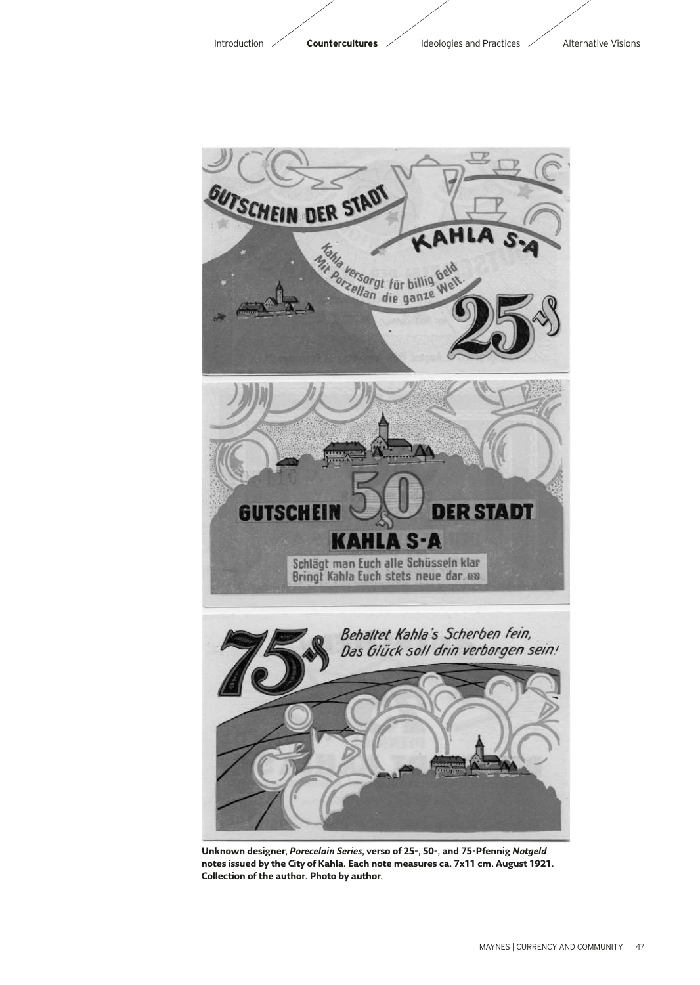

**Unknown designer,** *Porecelain Series***, verso of 25-, 50-, and 75-Pfennig** *Notgeld* **notes issued by the City of Kahla. Each note measures ca. 7x11 cm. August 1921. Collection of the author. Photo by author.**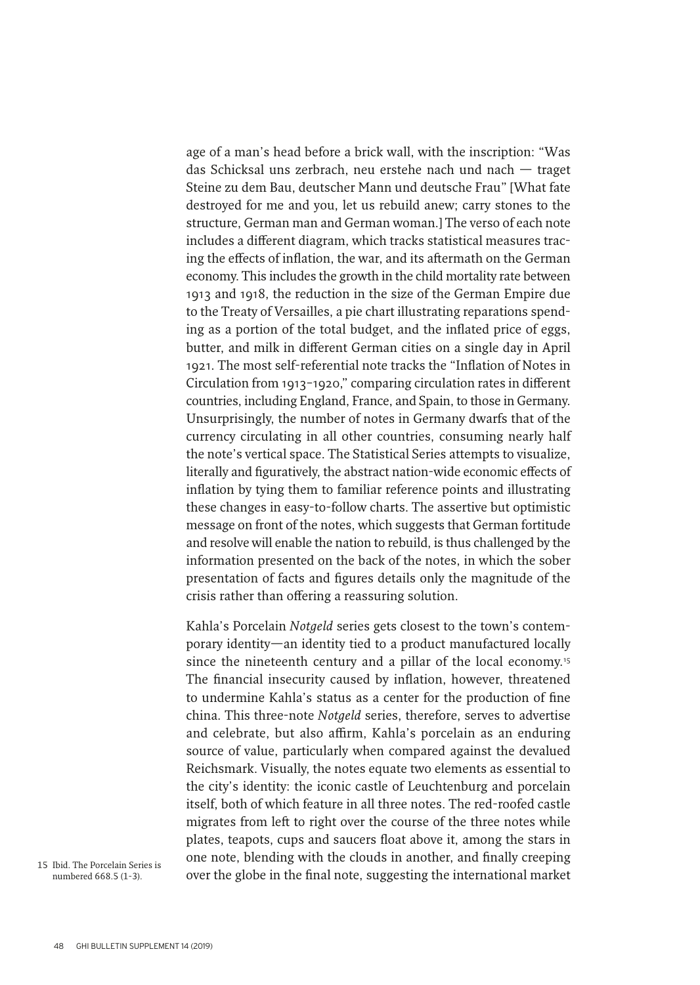age of a man's head before a brick wall, with the inscription: "Was das Schicksal uns zerbrach, neu erstehe nach und nach — traget Steine zu dem Bau, deutscher Mann und deutsche Frau" [What fate destroyed for me and you, let us rebuild anew; carry stones to the structure, German man and German woman.] The verso of each note includes a different diagram, which tracks statistical measures tracing the effects of inflation, the war, and its aftermath on the German economy. This includes the growth in the child mortality rate between 1913 and 1918, the reduction in the size of the German Empire due to the Treaty of Versailles, a pie chart illustrating reparations spending as a portion of the total budget, and the inflated price of eggs, butter, and milk in different German cities on a single day in April 1921. The most self-referential note tracks the "Inflation of Notes in Circulation from 1913-1920," comparing circulation rates in different countries, including England, France, and Spain, to those in Germany. Unsurprisingly, the number of notes in Germany dwarfs that of the currency circulating in all other countries, consuming nearly half the note's vertical space. The Statistical Series attempts to visualize, literally and figuratively, the abstract nation-wide economic effects of inflation by tying them to familiar reference points and illustrating these changes in easy-to-follow charts. The assertive but optimistic message on front of the notes, which suggests that German fortitude and resolve will enable the nation to rebuild, is thus challenged by the information presented on the back of the notes, in which the sober presentation of facts and figures details only the magnitude of the crisis rather than offering a reassuring solution.

Kahla's Porcelain *Notgeld* series gets closest to the town's contemporary identity—an identity tied to a product manufactured locally since the nineteenth century and a pillar of the local economy.<sup>15</sup> The financial insecurity caused by inflation, however, threatened to undermine Kahla's status as a center for the production of fine china. This three-note *Notgeld* series, therefore, serves to advertise and celebrate, but also affirm, Kahla's porcelain as an enduring source of value, particularly when compared against the devalued Reichsmark. Visually, the notes equate two elements as essential to the city's identity: the iconic castle of Leuchtenburg and porcelain itself, both of which feature in all three notes. The red-roofed castle migrates from left to right over the course of the three notes while plates, teapots, cups and saucers float above it, among the stars in one note, blending with the clouds in another, and finally creeping over the globe in the final note, suggesting the international market

15 Ibid. The Porcelain Series is numbered 668.5 (1-3).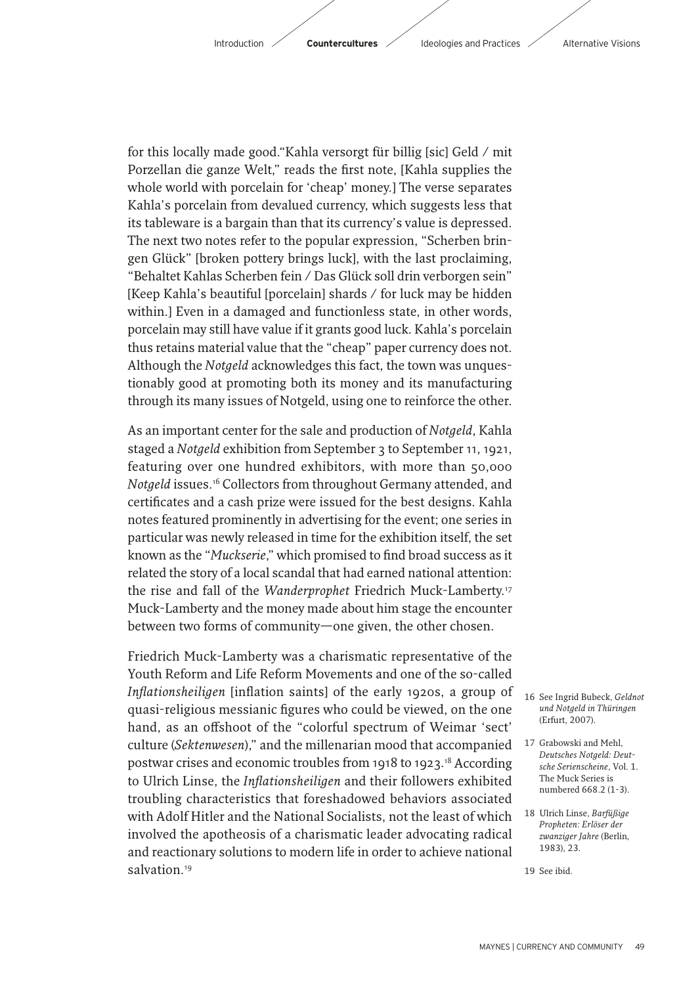for this locally made good."Kahla versorgt für billig [sic] Geld / mit Porzellan die ganze Welt," reads the first note, [Kahla supplies the whole world with porcelain for 'cheap' money.] The verse separates Kahla's porcelain from devalued currency, which suggests less that its tableware is a bargain than that its currency's value is depressed. The next two notes refer to the popular expression, "Scherben bringen Glück" [broken pottery brings luck], with the last proclaiming, "Behaltet Kahlas Scherben fein / Das Glück soll drin verborgen sein" [Keep Kahla's beautiful [porcelain] shards / for luck may be hidden within.] Even in a damaged and functionless state, in other words, porcelain may still have value if it grants good luck. Kahla's porcelain thus retains material value that the "cheap" paper currency does not. Although the *Notgeld* acknowledges this fact, the town was unquestionably good at promoting both its money and its manufacturing through its many issues of Notgeld, using one to reinforce the other.

As an important center for the sale and production of *Notgeld*, Kahla staged a *Notgeld* exhibition from September 3 to September 11, 1921, featuring over one hundred exhibitors, with more than 50,000 *Notgeld* issues.16 Collectors from throughout Germany attended, and certificates and a cash prize were issued for the best designs. Kahla notes featured prominently in advertising for the event; one series in particular was newly released in time for the exhibition itself, the set known as the "Muckserie," which promised to find broad success as it related the story of a local scandal that had earned national attention: the rise and fall of the *Wanderprophet* Friedrich Muck-Lamberty.17 Muck-Lamberty and the money made about him stage the encounter between two forms of community—one given, the other chosen.

Friedrich Muck-Lamberty was a charismatic representative of the Youth Reform and Life Reform Movements and one of the so-called *Inflationsheiligen* [inflation saints] of the early 1920s, a group of quasi-religious messianic figures who could be viewed, on the one hand, as an offshoot of the "colorful spectrum of Weimar 'sect' culture (*Sektenwesen*)," and the millenarian mood that accompanied postwar crises and economic troubles from 1918 to 1923.18 According to Ulrich Linse, the *Inflationsheiligen* and their followers exhibited troubling characteristics that foreshadowed behaviors associated with Adolf Hitler and the National Socialists, not the least of which involved the apotheosis of a charismatic leader advocating radical and reactionary solutions to modern life in order to achieve national salvation.<sup>19</sup>

- 16 See Ingrid Bubeck, *Geldnot und Notgeld in Thüringen* (Erfurt, 2007).
- 17 Grabowski and Mehl, *Deutsches Notgeld: Deutsche Serienscheine*, Vol. 1. The Muck Series is numbered 668.2 (1-3).
- 18 Ulrich Linse, *Barfüßige Propheten: Erlöser der zwanziger Jahre* (Berlin, 1983), 23.

<sup>19</sup> See ibid.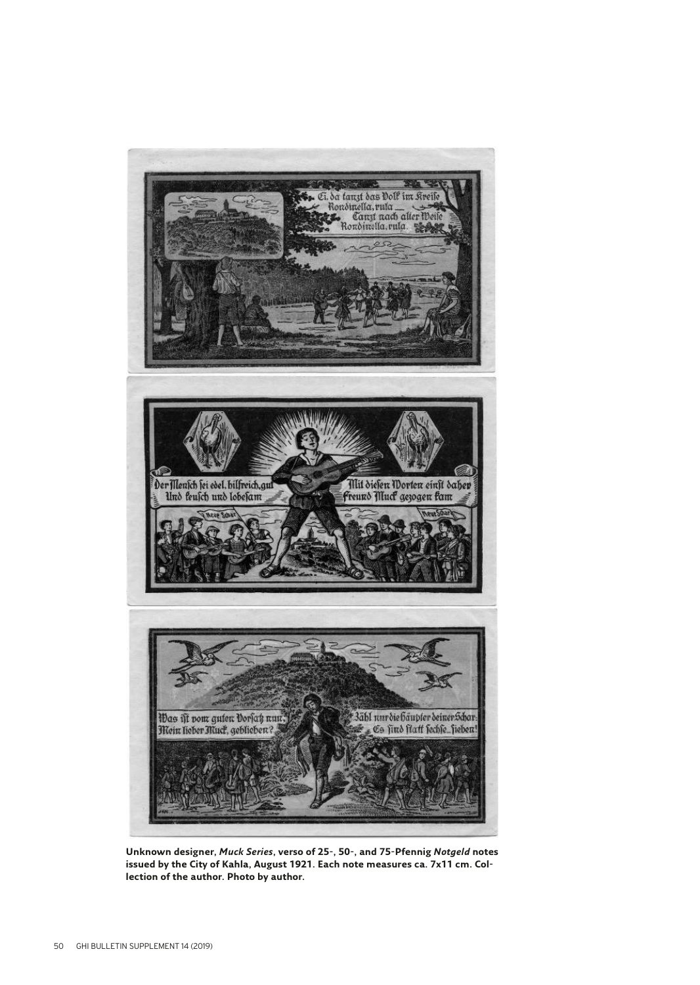

**Unknown designer,** *Muck Series***, verso of 25-, 50-, and 75-Pfennig** *Notgeld* **notes issued by the City of Kahla, August 1921. Each note measures ca. 7x11 cm. Collection of the author. Photo by author.**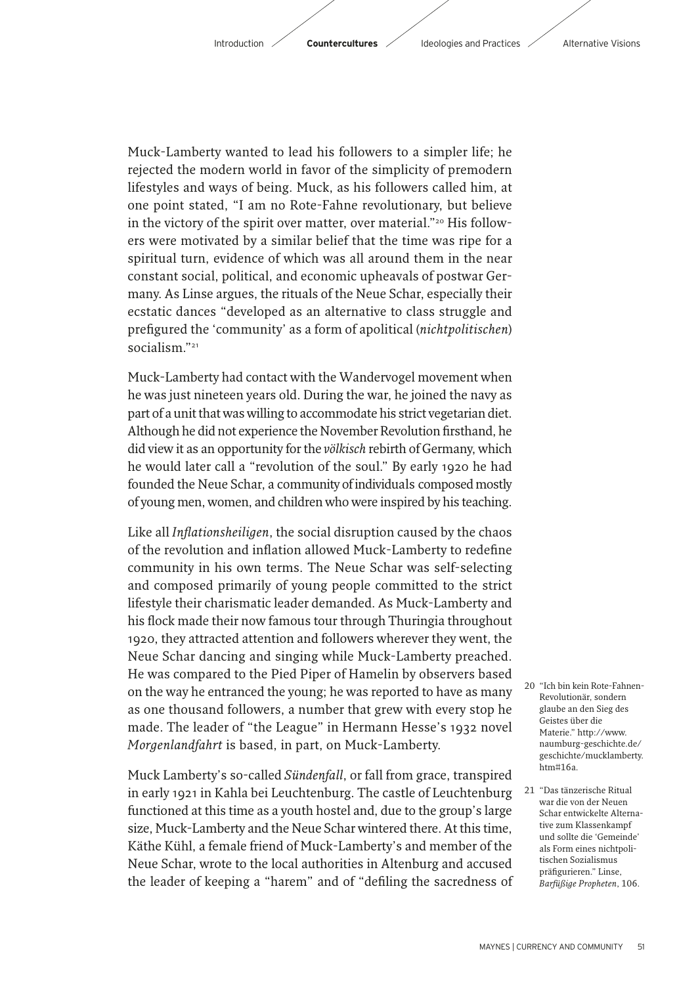Muck-Lamberty wanted to lead his followers to a simpler life; he rejected the modern world in favor of the simplicity of premodern lifestyles and ways of being. Muck, as his followers called him, at one point stated, "I am no Rote-Fahne revolutionary, but believe in the victory of the spirit over matter, over material."20 His followers were motivated by a similar belief that the time was ripe for a spiritual turn, evidence of which was all around them in the near constant social, political, and economic upheavals of postwar Germany. As Linse argues, the rituals of the Neue Schar, especially their ecstatic dances "developed as an alternative to class struggle and prefigured the 'community' as a form of apolitical (*nichtpolitischen*) socialism<sup>"21</sup>

Muck-Lamberty had contact with the Wandervogel movement when he was just nineteen years old. During the war, he joined the navy as part of a unit that was willing to accommodate his strict vegetarian diet. Although he did not experience the November Revolution firsthand, he did view it as an opportunity for the *völkisch* rebirth of Germany, which he would later call a "revolution of the soul." By early 1920 he had founded the Neue Schar, a community of individuals composed mostly of young men, women, and children who were inspired by his teaching.

Like all *Inflationsheiligen*, the social disruption caused by the chaos of the revolution and inflation allowed Muck-Lamberty to redefine community in his own terms. The Neue Schar was self-selecting and composed primarily of young people committed to the strict lifestyle their charismatic leader demanded. As Muck-Lamberty and his flock made their now famous tour through Thuringia throughout 1920, they attracted attention and followers wherever they went, the Neue Schar dancing and singing while Muck-Lamberty preached. He was compared to the Pied Piper of Hamelin by observers based on the way he entranced the young; he was reported to have as many as one thousand followers, a number that grew with every stop he made. The leader of "the League" in Hermann Hesse's 1932 novel *Morgenlandfahrt* is based, in part, on Muck-Lamberty.

Muck Lamberty's so-called *Sündenfall*, or fall from grace, transpired in early 1921 in Kahla bei Leuchtenburg. The castle of Leuchtenburg functioned at this time as a youth hostel and, due to the group's large size, Muck-Lamberty and the Neue Schar wintered there. At this time, Käthe Kühl, a female friend of Muck-Lamberty's and member of the Neue Schar, wrote to the local authorities in Altenburg and accused the leader of keeping a "harem" and of "defiling the sacredness of

- 20 "Ich bin kein Rote-Fahnen-Revolutionär, sondern glaube an den Sieg des Geistes über die Materie." http://www. naumburg-geschichte.de/ geschichte/mucklamberty. htm#16a.
- 21 "Das tänzerische Ritual war die von der Neuen Schar entwickelte Alternative zum Klassenkampf und sollte die 'Gemeinde' als Form eines nichtpolitischen Sozialismus präfigurieren." Linse, *Barfüßige Propheten*, 106.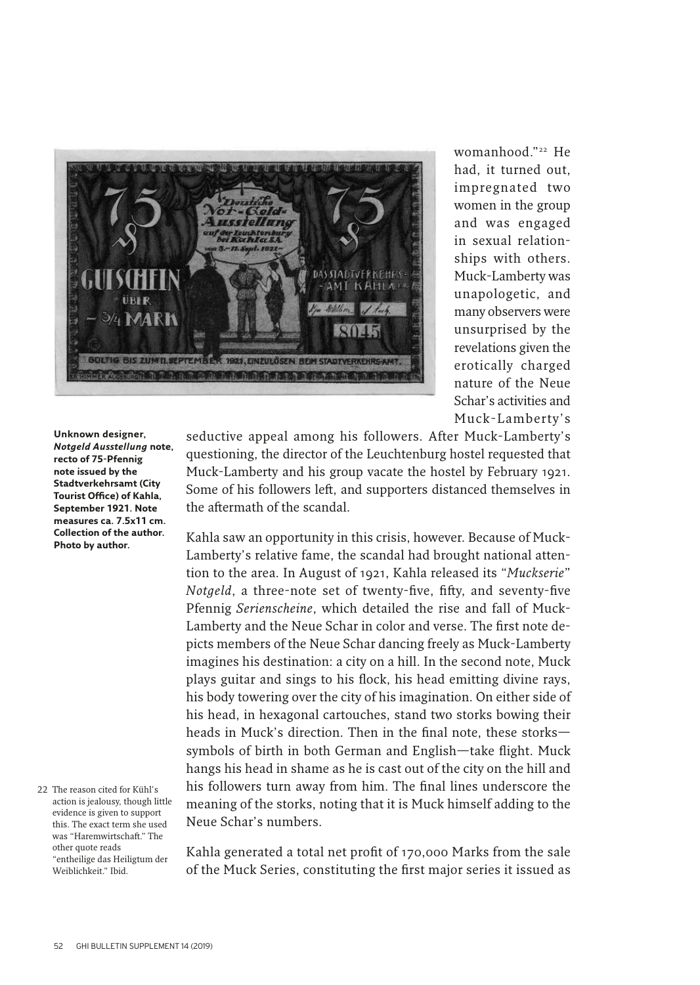

womanhood."22 He had, it turned out, impregnated two women in the group and was engaged in sexual relationships with others. Muck-Lamberty was unapologetic, and many observers were unsurprised by the revelations given the erotically charged nature of the Neue Schar's activities and Muck-Lamberty's

**Unknown designer,**  *Notgeld Ausstellung* **note, recto of 75-Pfennig note issued by the Stadtverkehrsamt (City Tourist Office) of Kahla, September 1921. Note measures ca. 7.5x11 cm. Collection of the author. Photo by author.**

22 The reason cited for Kühl's action is jealousy, though little evidence is given to support this. The exact term she used was "Haremwirtschaft." The other quote reads "entheilige das Heiligtum der Weiblichkeit." Ibid.

seductive appeal among his followers. After Muck-Lamberty's questioning, the director of the Leuchtenburg hostel requested that Muck-Lamberty and his group vacate the hostel by February 1921. Some of his followers left, and supporters distanced themselves in the aftermath of the scandal

Kahla saw an opportunity in this crisis, however. Because of Muck-Lamberty's relative fame, the scandal had brought national attention to the area. In August of 1921, Kahla released its "*Muckserie*" *Notgeld*, a three-note set of twenty-five, fifty, and seventy-five Pfennig *Serienscheine*, which detailed the rise and fall of Muck-Lamberty and the Neue Schar in color and verse. The first note depicts members of the Neue Schar dancing freely as Muck-Lamberty imagines his destination: a city on a hill. In the second note, Muck plays guitar and sings to his flock, his head emitting divine rays, his body towering over the city of his imagination. On either side of his head, in hexagonal cartouches, stand two storks bowing their heads in Muck's direction. Then in the final note, these storks $$ symbols of birth in both German and English-take flight. Muck hangs his head in shame as he is cast out of the city on the hill and his followers turn away from him. The final lines underscore the meaning of the storks, noting that it is Muck himself adding to the Neue Schar's numbers.

Kahla generated a total net profit of 170,000 Marks from the sale of the Muck Series, constituting the first major series it issued as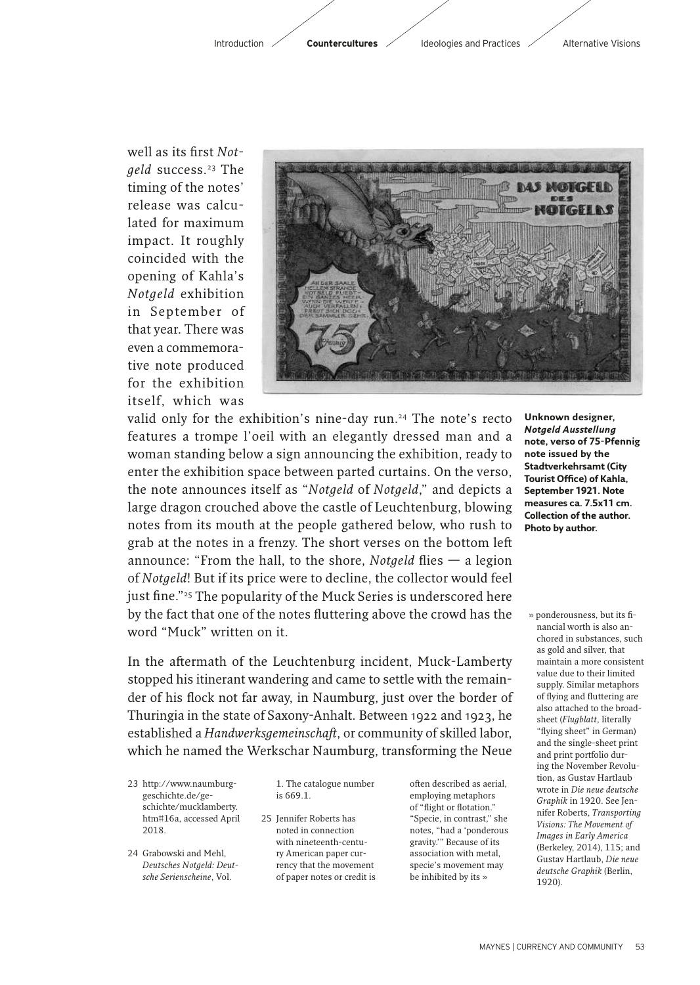

well as its first *Notgeld* success.23 The timing of the notes' release was calculated for maximum impact. It roughly coincided with the opening of Kahla's *Notgeld* exhibition in September of that year. There was even a commemorative note produced for the exhibition itself, which was



valid only for the exhibition's nine-day run.<sup>24</sup> The note's recto features a trompe l'oeil with an elegantly dressed man and a woman standing below a sign announcing the exhibition, ready to enter the exhibition space between parted curtains. On the verso, the note announces itself as "*Notgeld* of *Notgeld*," and depicts a large dragon crouched above the castle of Leuchtenburg, blowing notes from its mouth at the people gathered below, who rush to grab at the notes in a frenzy. The short verses on the bottom lef announce: "From the hall, to the shore, *Notgeld* flies  $-$  a legion of *Notgeld*! But if its price were to decline, the collector would feel just fine."<sup>25</sup> The popularity of the Muck Series is underscored here by the fact that one of the notes fluttering above the crowd has the word "Muck" written on it.

In the aftermath of the Leuchtenburg incident, Muck-Lamberty stopped his itinerant wandering and came to settle with the remainder of his flock not far away, in Naumburg, just over the border of Thuringia in the state of Saxony-Anhalt. Between 1922 and 1923, he established a *Handwerksgemeinschaf*, or community of skilled labor, which he named the Werkschar Naumburg, transforming the Neue

- 23 http://www.naumburggeschichte.de/geschichte/mucklamberty. htm#16a, accessed April 2018.
- 24 Grabowski and Mehl, *Deutsches Notgeld: Deutsche Serienscheine*, Vol.

1. The catalogue number is 669.1.

25 Jennifer Roberts has noted in connection with nineteenth-century American paper currency that the movement of paper notes or credit is

often described as aerial, employing metaphors of "flight or flotation." "Specie, in contrast," she notes, "had a 'ponderous gravity.'" Because of its association with metal, specie's movement may be inhibited by its »

**Unknown designer,**  *Notgeld Ausstellung* **note, verso of 75-Pfennig note issued by the Stadtverkehrsamt (City Tourist Office) of Kahla, September 1921. Note measures ca. 7.5x11 cm. Collection of the author. Photo by author.**

 » ponderousness, but its fi nancial worth is also anchored in substances, such as gold and silver, that maintain a more consistent value due to their limited supply. Similar metaphors of flying and fluttering are also attached to the broadsheet (*Flugblatt*, literally "flying sheet" in German) and the single-sheet print and print portfolio during the November Revolution, as Gustav Hartlaub wrote in *Die neue deutsche Graphik* in 1920. See Jennifer Roberts, *Transporting Visions: The Movement of Images in Early America* (Berkeley, 2014), 115; and Gustav Hartlaub, *Die neue deutsche Graphik* (Berlin, 1920).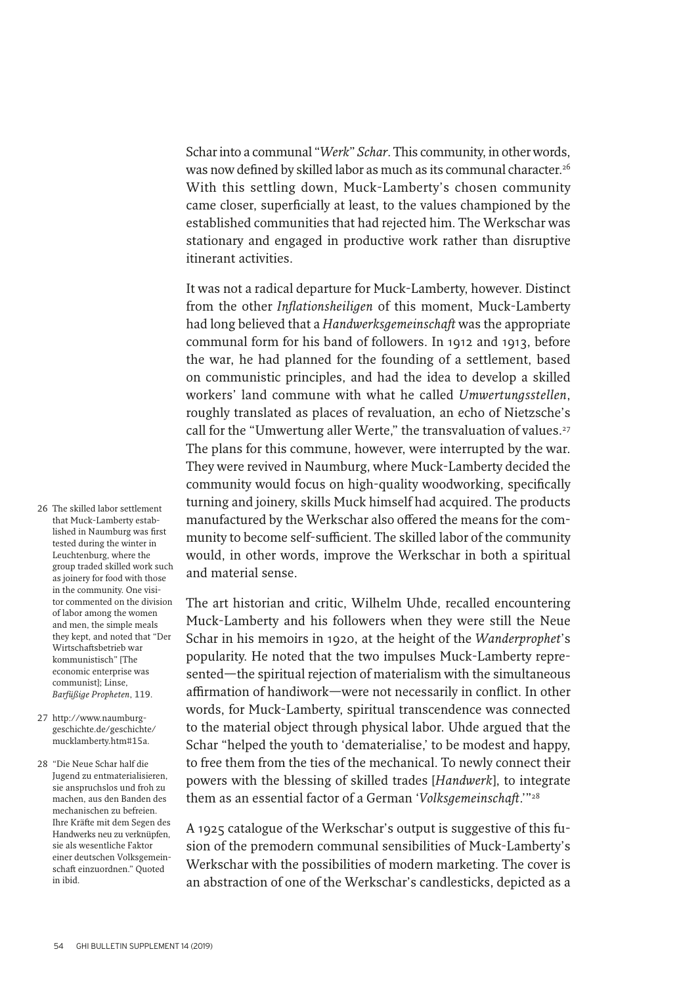Schar into a communal "*Werk*" *Schar*. This community, in other words, was now defined by skilled labor as much as its communal character.<sup>26</sup> With this settling down, Muck-Lamberty's chosen community came closer, superficially at least, to the values championed by the established communities that had rejected him. The Werkschar was stationary and engaged in productive work rather than disruptive itinerant activities.

It was not a radical departure for Muck-Lamberty, however. Distinct from the other *Inflationsheiligen* of this moment, Muck-Lamberty had long believed that a *Handwerksgemeinschaf* was the appropriate communal form for his band of followers. In 1912 and 1913, before the war, he had planned for the founding of a settlement, based on communistic principles, and had the idea to develop a skilled workers' land commune with what he called *Umwertungsstellen*, roughly translated as places of revaluation, an echo of Nietzsche's call for the "Umwertung aller Werte," the transvaluation of values.<sup>27</sup> The plans for this commune, however, were interrupted by the war. They were revived in Naumburg, where Muck-Lamberty decided the community would focus on high-quality woodworking, specifically turning and joinery, skills Muck himself had acquired. The products manufactured by the Werkschar also offered the means for the community to become self-sufficient. The skilled labor of the community would, in other words, improve the Werkschar in both a spiritual and material sense.

The art historian and critic, Wilhelm Uhde, recalled encountering Muck-Lamberty and his followers when they were still the Neue Schar in his memoirs in 1920, at the height of the *Wanderprophet*'s popularity. He noted that the two impulses Muck-Lamberty represented—the spiritual rejection of materialism with the simultaneous affirmation of handiwork—were not necessarily in conflict. In other words, for Muck-Lamberty, spiritual transcendence was connected to the material object through physical labor. Uhde argued that the Schar "helped the youth to 'dematerialise,' to be modest and happy, to free them from the ties of the mechanical. To newly connect their powers with the blessing of skilled trades [*Handwerk*], to integrate them as an essential factor of a German 'Volksgemeinschaft.'"<sup>28</sup>

A 1925 catalogue of the Werkschar's output is suggestive of this fusion of the premodern communal sensibilities of Muck-Lamberty's Werkschar with the possibilities of modern marketing. The cover is an abstraction of one of the Werkschar's candlesticks, depicted as a

- 26 The skilled labor settlement that Muck-Lamberty established in Naumburg was first tested during the winter in Leuchtenburg, where the group traded skilled work such as joinery for food with those in the community. One visitor commented on the division of labor among the women and men, the simple meals they kept, and noted that "Der Wirtschaftsbetrieb war kommunistisch" [The economic enterprise was communist]; Linse, *Barfüßige Propheten*, 119.
- 27 http://www.naumburggeschichte.de/geschichte/ mucklamberty.htm#15a.
- 28 "Die Neue Schar half die Jugend zu entmaterialisieren, sie anspruchslos und froh zu machen, aus den Banden des mechanischen zu befreien. Ihre Kräfte mit dem Segen des Handwerks neu zu verknüpfen, sie als wesentliche Faktor einer deutschen Volksgemeinschaft einzuordnen." Quoted in ibid.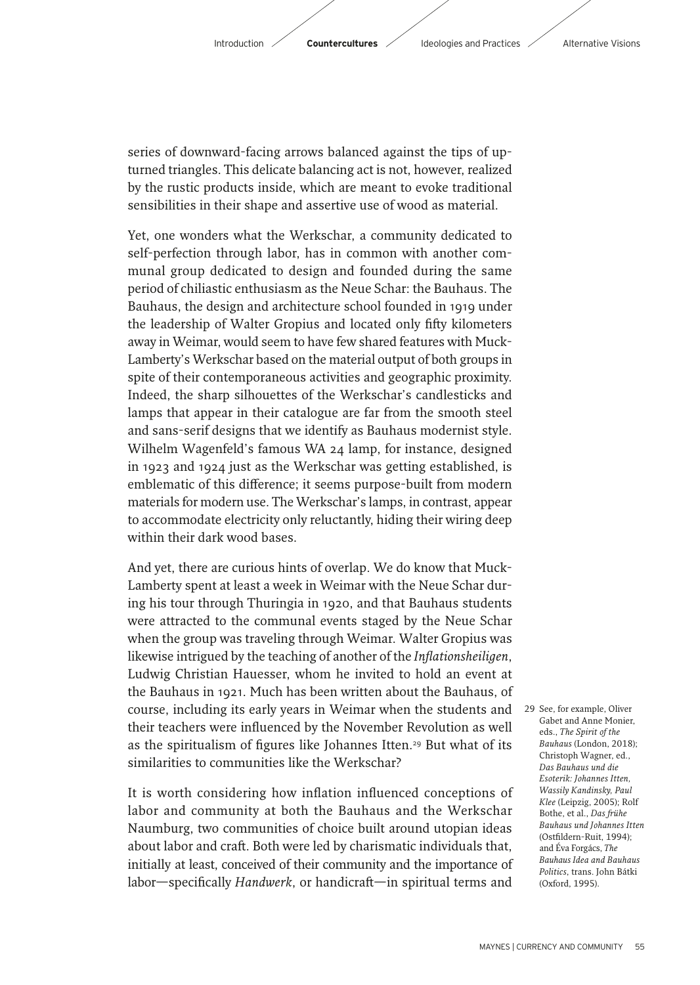series of downward-facing arrows balanced against the tips of upturned triangles. This delicate balancing act is not, however, realized by the rustic products inside, which are meant to evoke traditional sensibilities in their shape and assertive use of wood as material.

 Yet, one wonders what the Werkschar, a community dedicated to self-perfection through labor, has in common with another communal group dedicated to design and founded during the same period of chiliastic enthusiasm as the Neue Schar: the Bauhaus. The Bauhaus, the design and architecture school founded in 1919 under the leadership of Walter Gropius and located only fifty kilometers away in Weimar, would seem to have few shared features with Muck-Lamberty's Werkschar based on the material output of both groups in spite of their contemporaneous activities and geographic proximity. Indeed, the sharp silhouettes of the Werkschar's candlesticks and lamps that appear in their catalogue are far from the smooth steel and sans-serif designs that we identify as Bauhaus modernist style. Wilhelm Wagenfeld's famous WA 24 lamp, for instance, designed in 1923 and 1924 just as the Werkschar was getting established, is emblematic of this difference; it seems purpose-built from modern materials for modern use. The Werkschar's lamps, in contrast, appear to accommodate electricity only reluctantly, hiding their wiring deep within their dark wood bases.

And yet, there are curious hints of overlap. We do know that Muck-Lamberty spent at least a week in Weimar with the Neue Schar during his tour through Thuringia in 1920, and that Bauhaus students were attracted to the communal events staged by the Neue Schar when the group was traveling through Weimar. Walter Gropius was likewise intrigued by the teaching of another of the *Inflationsheiligen*, Ludwig Christian Hauesser, whom he invited to hold an event at the Bauhaus in 1921. Much has been written about the Bauhaus, of course, including its early years in Weimar when the students and 29 See, for example, Oliver their teachers were influenced by the November Revolution as well as the spiritualism of figures like Johannes Itten.<sup>29</sup> But what of its similarities to communities like the Werkschar?

It is worth considering how inflation influenced conceptions of labor and community at both the Bauhaus and the Werkschar Naumburg, two communities of choice built around utopian ideas about labor and craft. Both were led by charismatic individuals that, initially at least, conceived of their community and the importance of labor—specifically *Handwerk*, or handicraft—in spiritual terms and Gabet and Anne Monier, eds., *The Spirit of the Bauhaus* (London, 2018); Christoph Wagner, ed., *Das Bauhaus und die Esoterik: Johannes Itten, Wassily Kandinsky, Paul Klee* (Leipzig, 2005); Rolf Bothe, et al., *Das frühe Bauhaus und Johannes Itten* (Ostfildern-Ruit, 1994); and Éva Forgács, *The Bauhaus Idea and Bauhaus Politics*, trans. John Bátki (Oxford, 1995).